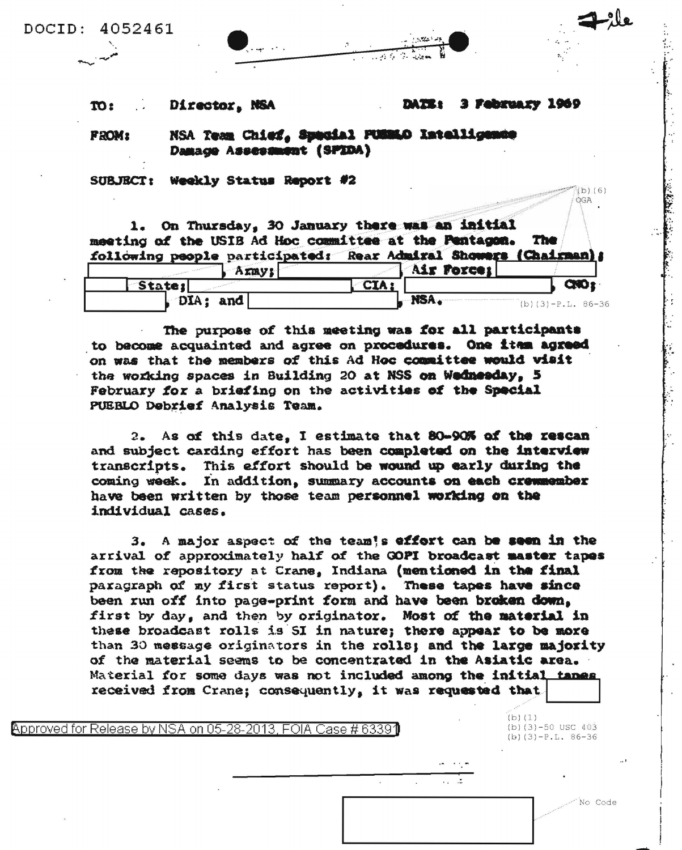DOCID: 4052461

 $-1.5.99$ 

 $: 20$ Director, NSA

## 3 February 1969 **DATE:**

 $(b) (6)$ ÓGA

**FROM:** 

NSA Team Chief, Special PUSMAO Intelligence Damage Assessment (SPIDA)

SUBJECT: Weekly Status Report #2

1. On Thursday, 30 January there was an initial meeting of the USIB Ad Hoc committee at the Pentagon. The following people participated: Rear Admiral Showers (Chairman);

| Army!       |      | Air Porce;           |
|-------------|------|----------------------|
| State:      |      |                      |
| DIA:<br>and | NSA. | (b) $(3)-P.L. 86-36$ |

The purpose of this meeting was for all participants to become acquainted and agree on procedures. One item agreed on was that the members of this Ad Hoc committee would visit the working spaces in Building 20 at NSS on Wednesday, 5 February for a briefing on the activities of the Special PUEBLO Debrief Analysis Team.

2. As of this date, I estimate that 80-90% of the rescan and subject carding effort has been completed on the interview transcripts. This effort should be wound up early during the coming week. In addition, summary accounts on each cremmember have been written by those team personnel working on the individual cases.

3. A major aspect of the team's effort can be seen in the arrival of approximately half of the GOPI broadcast master tapes from the repository at Crane, Indiana (mentioned in the final paragraph of my first status report). These tapes have since been run off into page-print form and have been broken down, first by day, and then by originator. Most of the material in these broadcast rolls is SI in nature; there appear to be more than 30 message originators in the rolls; and the large majority of the material seems to be concentrated in the Asiatic area. Material for some days was not included among the initial tanes. received from Crane; consequently, it was requested that

Approved for Release by NSA on 05-28-2013. FOIA Case # 63391

(b)  $(3)-50$  USC  $403$  $(b)(3)-P.L. 86-36$ 

No Code